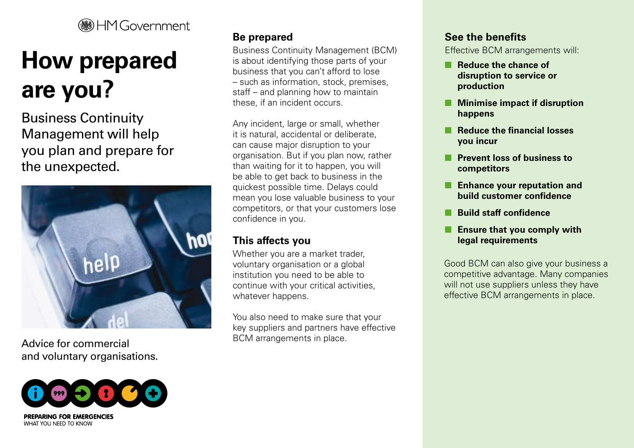# **HM Government**

# **How prepared are you?**

Business Continuity Management will help you plan and prepare for the unexpected.



Advice for commercial and voluntary organisations.



# **Be prepared**

Business Continuity Management (BCM) is about identifying those parts of your business that you can't afford to lose – such as information, stock, premises, staff – and planning how to maintain these, if an incident occurs.

Any incident, large or small, whether it is natural, accidental or deliberate, can cause major disruption to your organisation. But if you plan now, rather than waiting for it to happen, you will be able to get back to business in the quickest possible time. Delays could mean you lose valuable business to your competitors, or that your customers lose confidence in you.

# **This affects you**

Whether you are a market trader, voluntary organisation or a global institution you need to be able to continue with your critical activities, whatever happens.

You also need to make sure that your key suppliers and partners have effective BCM arrangements in place.

#### **See the benefits**

Effective BCM arrangements will:

- **Reduce the chance of disruption to service or production**
- **Minimise impact if disruption happens**
- **Reduce the financial losses you incur**
- **Prevent loss of business to competitors**
- **Enhance your reputation and build customer confidence**
- **Build staff confidence**
- **Ensure that you comply with legal requirements**

Good BCM can also give your business a competitive advantage. Many companies will not use suppliers unless they have effective BCM arrangements in place.